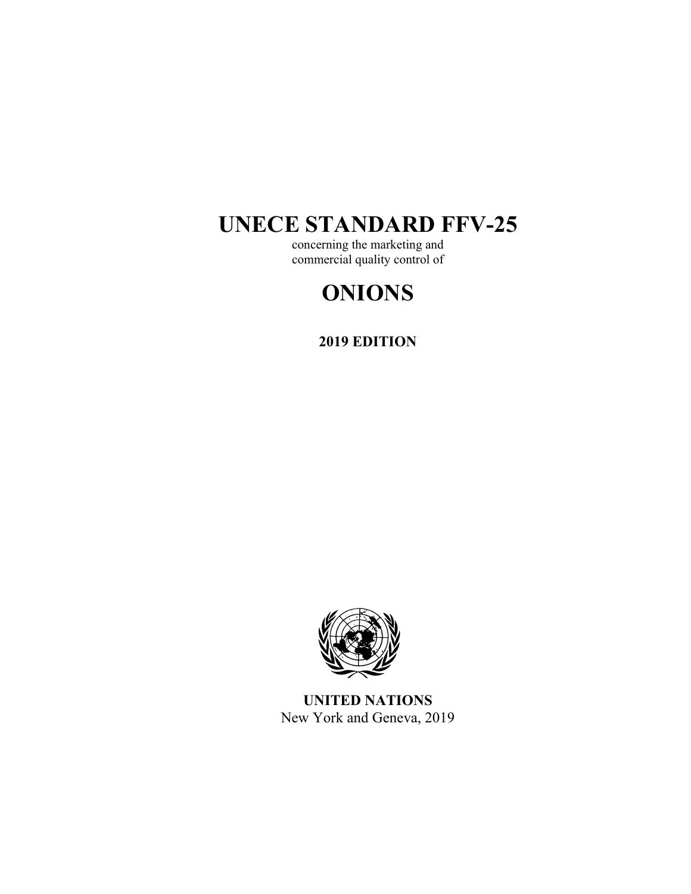## **UNECE STANDARD FFV-25**

concerning the marketing and commercial quality control of

# **ONIONS**

**2019 EDITION** 



**UNITED NATIONS**  New York and Geneva, 2019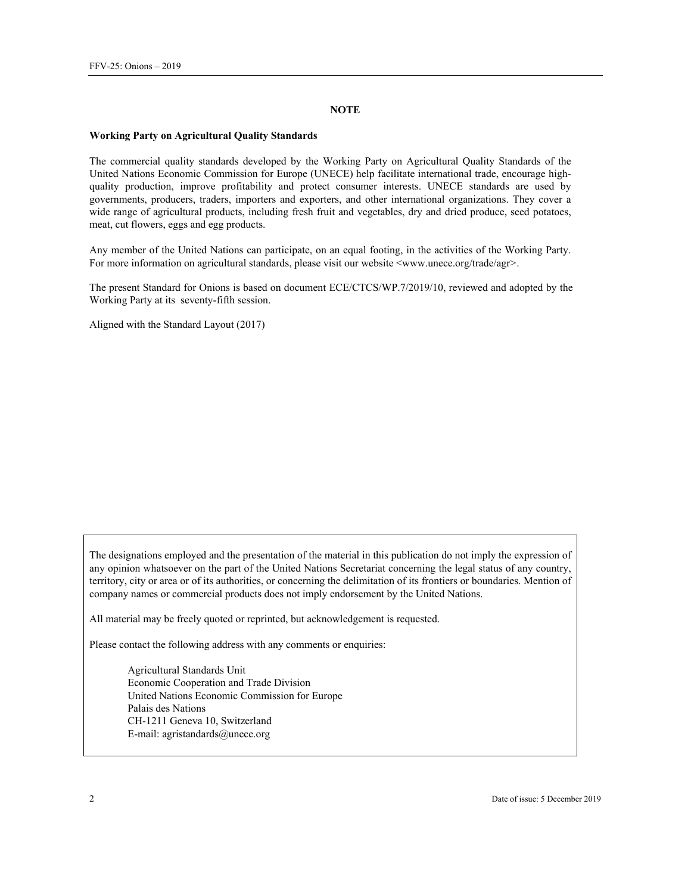#### **NOTE**

#### **Working Party on Agricultural Quality Standards**

The commercial quality standards developed by the Working Party on Agricultural Quality Standards of the United Nations Economic Commission for Europe (UNECE) help facilitate international trade, encourage highquality production, improve profitability and protect consumer interests. UNECE standards are used by governments, producers, traders, importers and exporters, and other international organizations. They cover a wide range of agricultural products, including fresh fruit and vegetables, dry and dried produce, seed potatoes, meat, cut flowers, eggs and egg products.

Any member of the United Nations can participate, on an equal footing, in the activities of the Working Party. For more information on agricultural standards, please visit our website <www.unece.org/trade/agr>.

The present Standard for Onions is based on document ECE/CTCS/WP.7/2019/10, reviewed and adopted by the Working Party at its seventy-fifth session.

Aligned with the Standard Layout (2017)

The designations employed and the presentation of the material in this publication do not imply the expression of any opinion whatsoever on the part of the United Nations Secretariat concerning the legal status of any country, territory, city or area or of its authorities, or concerning the delimitation of its frontiers or boundaries. Mention of company names or commercial products does not imply endorsement by the United Nations.

All material may be freely quoted or reprinted, but acknowledgement is requested.

Please contact the following address with any comments or enquiries:

Agricultural Standards Unit Economic Cooperation and Trade Division United Nations Economic Commission for Europe Palais des Nations CH-1211 Geneva 10, Switzerland E-mail: agristandards@unece.org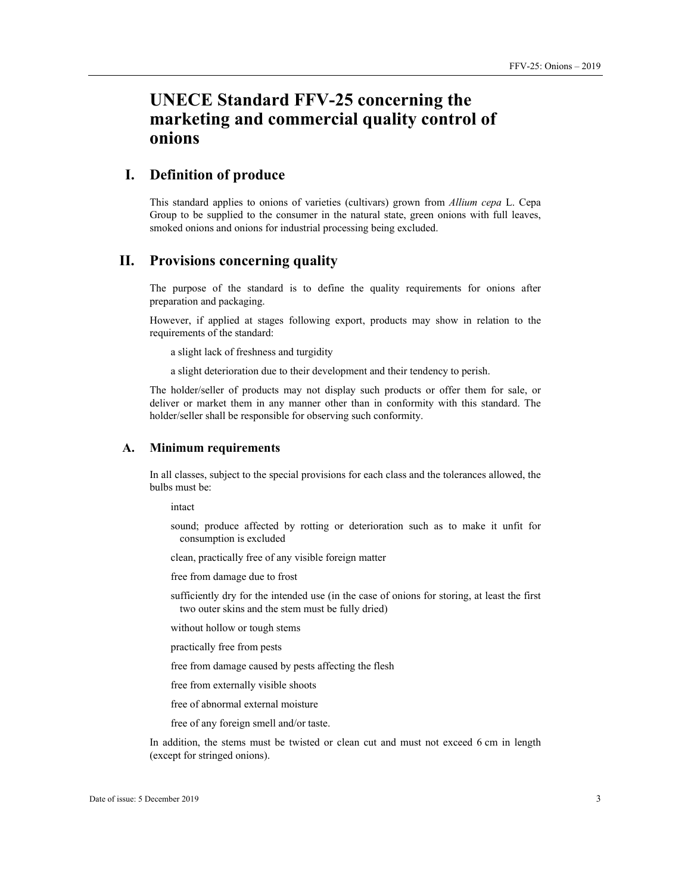## **UNECE Standard FFV-25 concerning the marketing and commercial quality control of onions**

## **I. Definition of produce**

This standard applies to onions of varieties (cultivars) grown from *Allium cepa* L. Cepa Group to be supplied to the consumer in the natural state, green onions with full leaves, smoked onions and onions for industrial processing being excluded.

## **II. Provisions concerning quality**

The purpose of the standard is to define the quality requirements for onions after preparation and packaging.

However, if applied at stages following export, products may show in relation to the requirements of the standard:

a slight lack of freshness and turgidity

a slight deterioration due to their development and their tendency to perish.

The holder/seller of products may not display such products or offer them for sale, or deliver or market them in any manner other than in conformity with this standard. The holder/seller shall be responsible for observing such conformity.

#### **A. Minimum requirements**

In all classes, subject to the special provisions for each class and the tolerances allowed, the bulbs must be:

intact

sound; produce affected by rotting or deterioration such as to make it unfit for consumption is excluded

clean, practically free of any visible foreign matter

free from damage due to frost

sufficiently dry for the intended use (in the case of onions for storing, at least the first two outer skins and the stem must be fully dried)

without hollow or tough stems

practically free from pests

free from damage caused by pests affecting the flesh

free from externally visible shoots

free of abnormal external moisture

free of any foreign smell and/or taste.

In addition, the stems must be twisted or clean cut and must not exceed 6 cm in length (except for stringed onions).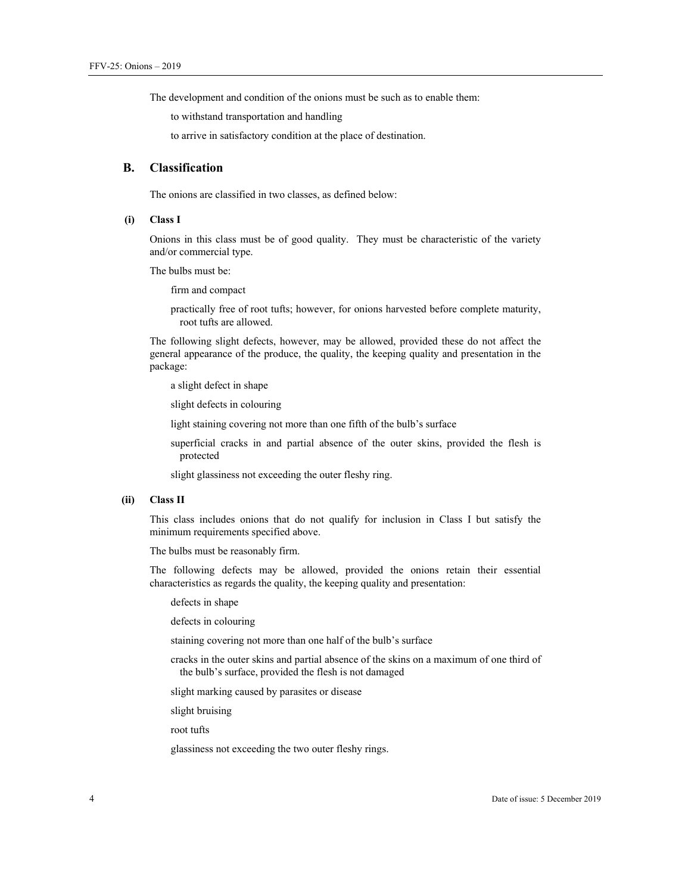The development and condition of the onions must be such as to enable them:

to withstand transportation and handling

to arrive in satisfactory condition at the place of destination.

## **B. Classification**

The onions are classified in two classes, as defined below:

#### **(i) Class I**

Onions in this class must be of good quality. They must be characteristic of the variety and/or commercial type.

The bulbs must be:

firm and compact

practically free of root tufts; however, for onions harvested before complete maturity, root tufts are allowed.

The following slight defects, however, may be allowed, provided these do not affect the general appearance of the produce, the quality, the keeping quality and presentation in the package:

a slight defect in shape

slight defects in colouring

light staining covering not more than one fifth of the bulb's surface

superficial cracks in and partial absence of the outer skins, provided the flesh is protected

slight glassiness not exceeding the outer fleshy ring.

#### **(ii) Class II**

This class includes onions that do not qualify for inclusion in Class I but satisfy the minimum requirements specified above.

The bulbs must be reasonably firm.

The following defects may be allowed, provided the onions retain their essential characteristics as regards the quality, the keeping quality and presentation:

defects in shape

defects in colouring

staining covering not more than one half of the bulb's surface

cracks in the outer skins and partial absence of the skins on a maximum of one third of the bulb's surface, provided the flesh is not damaged

slight marking caused by parasites or disease

slight bruising

root tufts

glassiness not exceeding the two outer fleshy rings.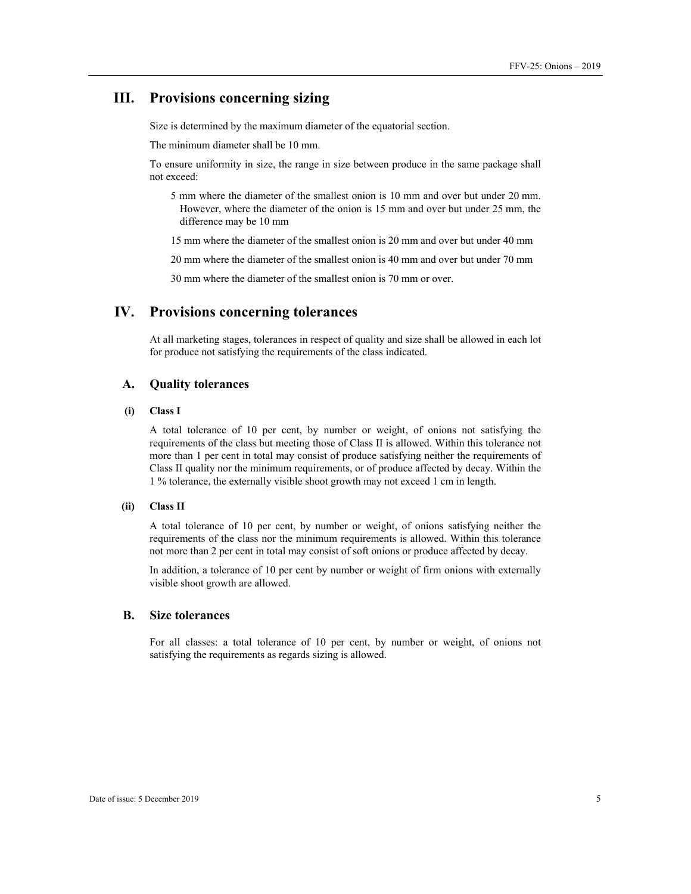## **III. Provisions concerning sizing**

Size is determined by the maximum diameter of the equatorial section.

The minimum diameter shall be 10 mm.

To ensure uniformity in size, the range in size between produce in the same package shall not exceed:

5 mm where the diameter of the smallest onion is 10 mm and over but under 20 mm. However, where the diameter of the onion is 15 mm and over but under 25 mm, the difference may be 10 mm

15 mm where the diameter of the smallest onion is 20 mm and over but under 40 mm

20 mm where the diameter of the smallest onion is 40 mm and over but under 70 mm

30 mm where the diameter of the smallest onion is 70 mm or over.

## **IV. Provisions concerning tolerances**

At all marketing stages, tolerances in respect of quality and size shall be allowed in each lot for produce not satisfying the requirements of the class indicated.

#### **A. Quality tolerances**

#### **(i) Class I**

A total tolerance of 10 per cent, by number or weight, of onions not satisfying the requirements of the class but meeting those of Class II is allowed. Within this tolerance not more than 1 per cent in total may consist of produce satisfying neither the requirements of Class II quality nor the minimum requirements, or of produce affected by decay. Within the 1 % tolerance, the externally visible shoot growth may not exceed 1 cm in length.

#### **(ii) Class II**

A total tolerance of 10 per cent, by number or weight, of onions satisfying neither the requirements of the class nor the minimum requirements is allowed. Within this tolerance not more than 2 per cent in total may consist of soft onions or produce affected by decay.

In addition, a tolerance of 10 per cent by number or weight of firm onions with externally visible shoot growth are allowed.

#### **B. Size tolerances**

For all classes: a total tolerance of 10 per cent, by number or weight, of onions not satisfying the requirements as regards sizing is allowed.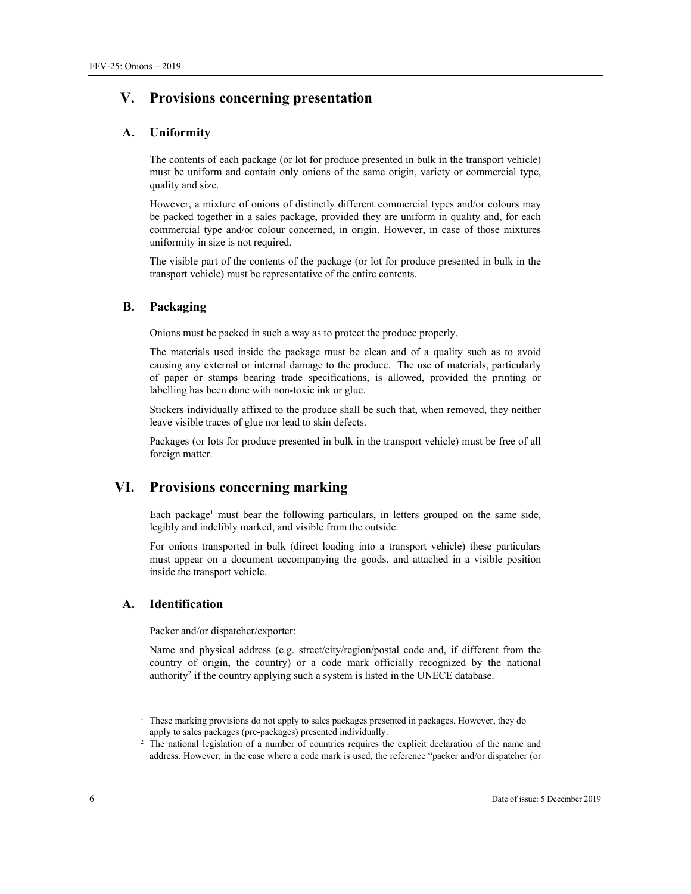## **V. Provisions concerning presentation**

#### **A. Uniformity**

The contents of each package (or lot for produce presented in bulk in the transport vehicle) must be uniform and contain only onions of the same origin, variety or commercial type, quality and size.

However, a mixture of onions of distinctly different commercial types and/or colours may be packed together in a sales package, provided they are uniform in quality and, for each commercial type and/or colour concerned, in origin. However, in case of those mixtures uniformity in size is not required.

The visible part of the contents of the package (or lot for produce presented in bulk in the transport vehicle) must be representative of the entire contents.

#### **B. Packaging**

Onions must be packed in such a way as to protect the produce properly.

The materials used inside the package must be clean and of a quality such as to avoid causing any external or internal damage to the produce. The use of materials, particularly of paper or stamps bearing trade specifications, is allowed, provided the printing or labelling has been done with non-toxic ink or glue.

Stickers individually affixed to the produce shall be such that, when removed, they neither leave visible traces of glue nor lead to skin defects.

Packages (or lots for produce presented in bulk in the transport vehicle) must be free of all foreign matter.

## **VI. Provisions concerning marking**

Each package<sup>1</sup> must bear the following particulars, in letters grouped on the same side, legibly and indelibly marked, and visible from the outside.

For onions transported in bulk (direct loading into a transport vehicle) these particulars must appear on a document accompanying the goods, and attached in a visible position inside the transport vehicle.

#### **A. Identification**

Packer and/or dispatcher/exporter:

Name and physical address (e.g. street/city/region/postal code and, if different from the country of origin, the country) or a code mark officially recognized by the national authority<sup>2</sup> if the country applying such a system is listed in the UNECE database.

 $\overline{a}$ 

<sup>&</sup>lt;sup>1</sup> These marking provisions do not apply to sales packages presented in packages. However, they do apply to sales packages (pre-packages) presented individually. 2

<sup>&</sup>lt;sup>2</sup> The national legislation of a number of countries requires the explicit declaration of the name and address. However, in the case where a code mark is used, the reference "packer and/or dispatcher (or